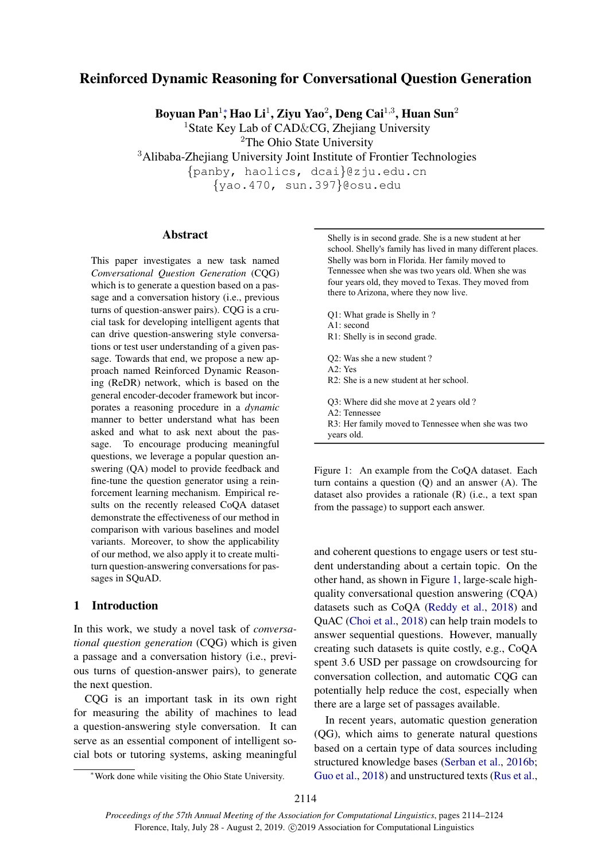# Reinforced Dynamic Reasoning for Conversational Question Generation

Boyuan Pan $^{1*}$ , Hao Li $^{1}$ , Ziyu Yao $^{2}$ , Deng Cai $^{1,3}$ , Huan Sun $^{2}$ 

<sup>1</sup>State Key Lab of CAD&CG, Zhejiang University

<sup>2</sup>The Ohio State University

<sup>3</sup>Alibaba-Zhejiang University Joint Institute of Frontier Technologies

{panby, haolics, dcai}@zju.edu.cn

{yao.470, sun.397}@osu.edu

### Abstract

This paper investigates a new task named *Conversational Question Generation* (CQG) which is to generate a question based on a passage and a conversation history (i.e., previous turns of question-answer pairs). CQG is a crucial task for developing intelligent agents that can drive question-answering style conversations or test user understanding of a given passage. Towards that end, we propose a new approach named Reinforced Dynamic Reasoning (ReDR) network, which is based on the general encoder-decoder framework but incorporates a reasoning procedure in a *dynamic* manner to better understand what has been asked and what to ask next about the passage. To encourage producing meaningful questions, we leverage a popular question answering (QA) model to provide feedback and fine-tune the question generator using a reinforcement learning mechanism. Empirical results on the recently released CoQA dataset demonstrate the effectiveness of our method in comparison with various baselines and model variants. Moreover, to show the applicability of our method, we also apply it to create multiturn question-answering conversations for passages in SQuAD.

# 1 Introduction

In this work, we study a novel task of *conversational question generation* (CQG) which is given a passage and a conversation history (i.e., previous turns of question-answer pairs), to generate the next question.

CQG is an important task in its own right for measuring the ability of machines to lead a question-answering style conversation. It can serve as an essential component of intelligent social bots or tutoring systems, asking meaningful <span id="page-0-0"></span>Shelly is in second grade. She is a new student at her school. Shelly's family has lived in many different places. Shelly was born in Florida. Her family moved to Tennessee when she was two years old. When she was four years old, they moved to Texas. They moved from there to Arizona, where they now live.

- Q1: What grade is Shelly in ? A1: second R1: Shelly is in second grade. Q2: Was she a new student ? A2: Yes R2: She is a new student at her school. Q3: Where did she move at 2 years old ? A2: Tennessee R3: Her family moved to Tennessee when she was two
- years old.

Figure 1: An example from the CoQA dataset. Each turn contains a question (Q) and an answer (A). The dataset also provides a rationale (R) (i.e., a text span from the passage) to support each answer.

and coherent questions to engage users or test student understanding about a certain topic. On the other hand, as shown in Figure [1,](#page-0-0) large-scale highquality conversational question answering (CQA) datasets such as CoQA [\(Reddy et al.,](#page-9-0) [2018\)](#page-9-0) and QuAC [\(Choi et al.,](#page-8-0) [2018\)](#page-8-0) can help train models to answer sequential questions. However, manually creating such datasets is quite costly, e.g., CoQA spent 3.6 USD per passage on crowdsourcing for conversation collection, and automatic CQG can potentially help reduce the cost, especially when there are a large set of passages available.

In recent years, automatic question generation (QG), which aims to generate natural questions based on a certain type of data sources including structured knowledge bases [\(Serban et al.,](#page-9-1) [2016b;](#page-9-1) [Guo et al.,](#page-8-1) [2018\)](#page-8-1) and unstructured texts [\(Rus et al.,](#page-9-2)

<sup>∗</sup>Work done while visiting the Ohio State University.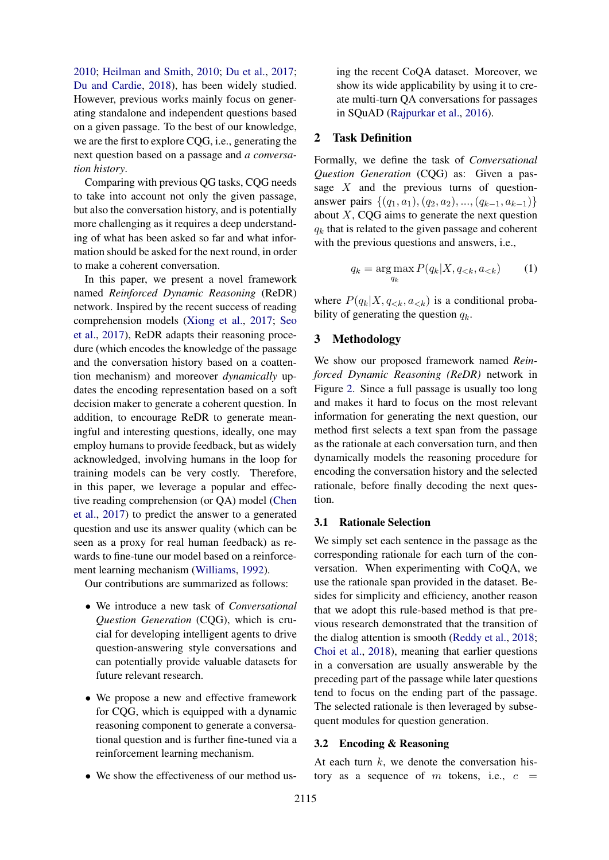[2010;](#page-9-2) [Heilman and Smith,](#page-8-2) [2010;](#page-8-2) [Du et al.,](#page-8-3) [2017;](#page-8-3) [Du and Cardie,](#page-8-4) [2018\)](#page-8-4), has been widely studied. However, previous works mainly focus on generating standalone and independent questions based on a given passage. To the best of our knowledge, we are the first to explore CQG, i.e., generating the next question based on a passage and *a conversation history*.

Comparing with previous QG tasks, CQG needs to take into account not only the given passage, but also the conversation history, and is potentially more challenging as it requires a deep understanding of what has been asked so far and what information should be asked for the next round, in order to make a coherent conversation.

In this paper, we present a novel framework named *Reinforced Dynamic Reasoning* (ReDR) network. Inspired by the recent success of reading comprehension models [\(Xiong et al.,](#page-10-0) [2017;](#page-10-0) [Seo](#page-9-3) [et al.,](#page-9-3) [2017\)](#page-9-3), ReDR adapts their reasoning procedure (which encodes the knowledge of the passage and the conversation history based on a coattention mechanism) and moreover *dynamically* updates the encoding representation based on a soft decision maker to generate a coherent question. In addition, to encourage ReDR to generate meaningful and interesting questions, ideally, one may employ humans to provide feedback, but as widely acknowledged, involving humans in the loop for training models can be very costly. Therefore, in this paper, we leverage a popular and effective reading comprehension (or QA) model [\(Chen](#page-8-5) [et al.,](#page-8-5) [2017\)](#page-8-5) to predict the answer to a generated question and use its answer quality (which can be seen as a proxy for real human feedback) as rewards to fine-tune our model based on a reinforcement learning mechanism [\(Williams,](#page-10-1) [1992\)](#page-10-1).

Our contributions are summarized as follows:

- We introduce a new task of *Conversational Question Generation* (CQG), which is crucial for developing intelligent agents to drive question-answering style conversations and can potentially provide valuable datasets for future relevant research.
- We propose a new and effective framework for CQG, which is equipped with a dynamic reasoning component to generate a conversational question and is further fine-tuned via a reinforcement learning mechanism.
- We show the effectiveness of our method us-

ing the recent CoQA dataset. Moreover, we show its wide applicability by using it to create multi-turn QA conversations for passages in SQuAD [\(Rajpurkar et al.,](#page-9-4) [2016\)](#page-9-4).

### 2 Task Definition

Formally, we define the task of *Conversational Question Generation* (CQG) as: Given a passage  $X$  and the previous turns of questionanswer pairs  $\{(q_1, a_1), (q_2, a_2), ..., (q_{k-1}, a_{k-1})\}$ about  $X$ , CQG aims to generate the next question  $q_k$  that is related to the given passage and coherent with the previous questions and answers, i.e.,

$$
q_k = \underset{q_k}{\arg\max} P(q_k | X, q_{
$$

where  $P(q_k|X, q_{< k}, a_{< k})$  is a conditional probability of generating the question  $q_k$ .

#### 3 Methodology

We show our proposed framework named *Reinforced Dynamic Reasoning (ReDR)* network in Figure [2.](#page-2-0) Since a full passage is usually too long and makes it hard to focus on the most relevant information for generating the next question, our method first selects a text span from the passage as the rationale at each conversation turn, and then dynamically models the reasoning procedure for encoding the conversation history and the selected rationale, before finally decoding the next question.

#### <span id="page-1-0"></span>3.1 Rationale Selection

We simply set each sentence in the passage as the corresponding rationale for each turn of the conversation. When experimenting with CoQA, we use the rationale span provided in the dataset. Besides for simplicity and efficiency, another reason that we adopt this rule-based method is that previous research demonstrated that the transition of the dialog attention is smooth [\(Reddy et al.,](#page-9-0) [2018;](#page-9-0) [Choi et al.,](#page-8-0) [2018\)](#page-8-0), meaning that earlier questions in a conversation are usually answerable by the preceding part of the passage while later questions tend to focus on the ending part of the passage. The selected rationale is then leveraged by subsequent modules for question generation.

#### 3.2 Encoding & Reasoning

At each turn  $k$ , we denote the conversation history as a sequence of m tokens, i.e.,  $c =$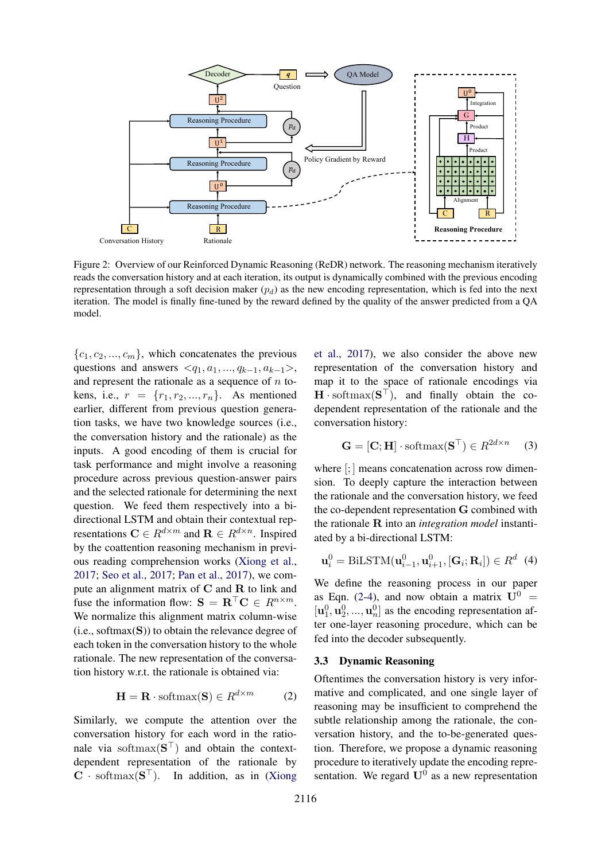<span id="page-2-0"></span>

Figure 2: Overview of our Reinforced Dynamic Reasoning (ReDR) network. The reasoning mechanism iteratively reads the conversation history and at each iteration, its output is dynamically combined with the previous encoding representation through a soft decision maker  $(p_d)$  as the new encoding representation, which is fed into the next iteration. The model is finally fine-tuned by the reward defined by the quality of the answer predicted from a QA model.

 ${c_1, c_2, ..., c_m}$ , which concatenates the previous questions and answers  $\langle q_1, a_1, ..., q_{k-1}, a_{k-1} \rangle$ , and represent the rationale as a sequence of  $n$  tokens, i.e.,  $r = \{r_1, r_2, ..., r_n\}$ . As mentioned earlier, different from previous question generation tasks, we have two knowledge sources (i.e., the conversation history and the rationale) as the inputs. A good encoding of them is crucial for task performance and might involve a reasoning procedure across previous question-answer pairs and the selected rationale for determining the next question. We feed them respectively into a bidirectional LSTM and obtain their contextual representations  $\mathbf{C} \in R^{d \times m}$  and  $\mathbf{R} \in R^{d \times n}$ . Inspired by the coattention reasoning mechanism in previous reading comprehension works [\(Xiong et al.,](#page-10-0) [2017;](#page-10-0) [Seo et al.,](#page-9-3) [2017;](#page-9-3) [Pan et al.,](#page-9-5) [2017\)](#page-9-5), we compute an alignment matrix of C and R to link and fuse the information flow:  $S = \mathbf{R}^\top \mathbf{C} \in R^{n \times m}$ . We normalize this alignment matrix column-wise  $(i.e., softmax(S))$  to obtain the relevance degree of each token in the conversation history to the whole rationale. The new representation of the conversation history w.r.t. the rationale is obtained via:

$$
\mathbf{H} = \mathbf{R} \cdot \text{softmax}(\mathbf{S}) \in R^{d \times m} \tag{2}
$$

Similarly, we compute the attention over the conversation history for each word in the rationale via softmax $({\bf S}^{\top})$  and obtain the contextdependent representation of the rationale by  $C \cdot \text{softmax}(\mathbf{S}^{\top})$ . In addition, as in [\(Xiong](#page-10-0)

[et al.,](#page-10-0) [2017\)](#page-10-0), we also consider the above new representation of the conversation history and map it to the space of rationale encodings via  $H \cdot \text{softmax}(\mathbf{S}^{\top})$ , and finally obtain the codependent representation of the rationale and the conversation history:

$$
\mathbf{G} = [\mathbf{C}; \mathbf{H}] \cdot \text{softmax}(\mathbf{S}^{\top}) \in R^{2d \times n} \quad (3)
$$

where  $\left[\cdot\right]$  means concatenation across row dimension. To deeply capture the interaction between the rationale and the conversation history, we feed the co-dependent representation G combined with the rationale R into an *integration model* instantiated by a bi-directional LSTM:

<span id="page-2-2"></span>
$$
\mathbf{u}_i^0 = \text{BiLSTM}(\mathbf{u}_{i-1}^0, \mathbf{u}_{i+1}^0, [\mathbf{G}_i; \mathbf{R}_i]) \in R^d \tag{4}
$$

We define the reasoning process in our paper as Eqn. [\(2-](#page-2-1)[4\)](#page-2-2), and now obtain a matrix  $U^0$  =  $[\mathbf{u}_1^0, \mathbf{u}_2^0, ..., \mathbf{u}_n^0]$  as the encoding representation after one-layer reasoning procedure, which can be fed into the decoder subsequently.

#### <span id="page-2-1"></span>3.3 Dynamic Reasoning

Oftentimes the conversation history is very informative and complicated, and one single layer of reasoning may be insufficient to comprehend the subtle relationship among the rationale, the conversation history, and the to-be-generated question. Therefore, we propose a dynamic reasoning procedure to iteratively update the encoding representation. We regard  $U^0$  as a new representation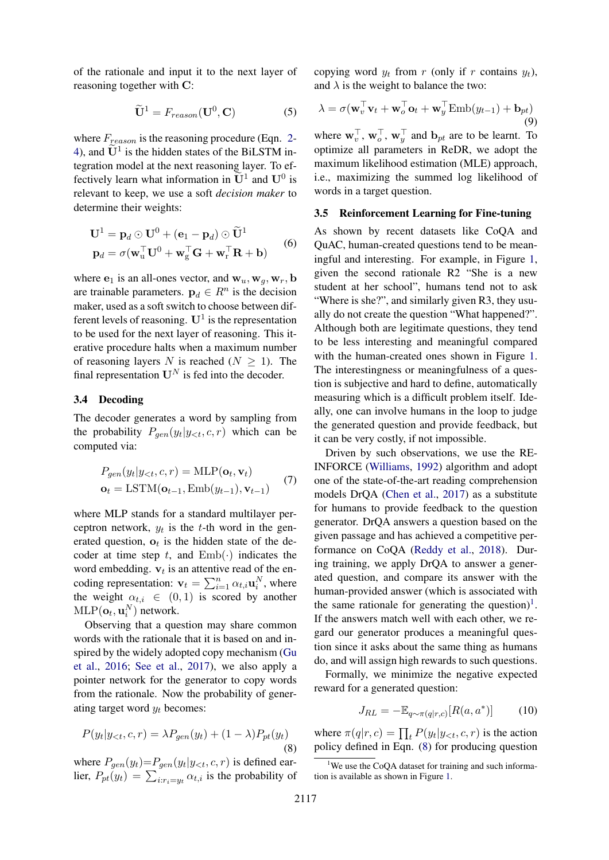of the rationale and input it to the next layer of reasoning together with C:

$$
\widetilde{\mathbf{U}}^1 = F_{reason}(\mathbf{U}^0, \mathbf{C})
$$
 (5)

where  $F_{reason}$  is the reasoning procedure (Eqn. [2-](#page-2-1) [4\)](#page-2-2), and  $\widetilde{U}^1$  is the hidden states of the BiLSTM integration model at the next reasoning layer. To effectively learn what information in  $\tilde{U}^1$  and  $U^0$  is relevant to keep, we use a soft *decision maker* to determine their weights:

$$
\mathbf{U}^{1} = \mathbf{p}_{d} \odot \mathbf{U}^{0} + (\mathbf{e}_{1} - \mathbf{p}_{d}) \odot \widetilde{\mathbf{U}}^{1}
$$
  

$$
\mathbf{p}_{d} = \sigma(\mathbf{w}_{u}^{\top} \mathbf{U}^{0} + \mathbf{w}_{g}^{\top} \mathbf{G} + \mathbf{w}_{r}^{\top} \mathbf{R} + \mathbf{b})
$$
(6)

where  $e_1$  is an all-ones vector, and  $w_u, w_g, w_r$ , b are trainable parameters.  $\mathbf{p}_d \in \mathbb{R}^n$  is the decision maker, used as a soft switch to choose between different levels of reasoning.  $U^1$  is the representation to be used for the next layer of reasoning. This iterative procedure halts when a maximum number of reasoning layers N is reached  $(N \geq 1)$ . The final representation  $U^N$  is fed into the decoder.

### 3.4 Decoding

The decoder generates a word by sampling from the probability  $P_{gen}(y_t|y_{< t}, c, r)$  which can be computed via:

$$
P_{gen}(y_t|y_{< t}, c, r) = \text{MLP}(\mathbf{o}_t, \mathbf{v}_t)
$$
  

$$
\mathbf{o}_t = \text{LSTM}(\mathbf{o}_{t-1}, \text{Emb}(y_{t-1}), \mathbf{v}_{t-1})
$$
 (7)

where MLP stands for a standard multilayer perceptron network,  $y_t$  is the t-th word in the generated question,  $o_t$  is the hidden state of the decoder at time step t, and  $Emb(\cdot)$  indicates the word embedding.  $v_t$  is an attentive read of the encoding representation:  $\mathbf{v}_t = \sum_{i=1}^n \alpha_{t,i} \mathbf{u}_i^N$ , where the weight  $\alpha_{t,i} \in (0,1)$  is scored by another  $\text{MLP}(\mathbf{o}_t, \mathbf{u}_i^N)$  network.

Observing that a question may share common words with the rationale that it is based on and inspired by the widely adopted copy mechanism [\(Gu](#page-8-6) [et al.,](#page-8-6) [2016;](#page-8-6) [See et al.,](#page-9-6) [2017\)](#page-9-6), we also apply a pointer network for the generator to copy words from the rationale. Now the probability of generating target word  $y_t$  becomes:

$$
P(y_t|y_{<};c,r) = \lambda P_{gen}(y_t) + (1-\lambda)P_{pt}(y_t)
$$
\n(8)

where  $P_{gen}(y_t)=P_{gen}(y_t|y_{< t}, c, r)$  is defined earlier,  $P_{pt}(y_t) = \sum_{i:r_i=y_t} \alpha_{t,i}$  is the probability of copying word  $y_t$  from r (only if r contains  $y_t$ ), and  $\lambda$  is the weight to balance the two:

$$
\lambda = \sigma(\mathbf{w}_v^{\top}\mathbf{v}_t + \mathbf{w}_o^{\top}\mathbf{o}_t + \mathbf{w}_y^{\top}\text{Emb}(y_{t-1}) + \mathbf{b}_{pt})
$$
  
(9)

where  $\mathbf{w}_v^{\top}, \mathbf{w}_o^{\top}, \mathbf{w}_y^{\top}$  and  $\mathbf{b}_{pt}$  are to be learnt. To optimize all parameters in ReDR, we adopt the maximum likelihood estimation (MLE) approach, i.e., maximizing the summed log likelihood of words in a target question.

#### 3.5 Reinforcement Learning for Fine-tuning

As shown by recent datasets like CoQA and QuAC, human-created questions tend to be meaningful and interesting. For example, in Figure [1,](#page-0-0) given the second rationale R2 "She is a new student at her school", humans tend not to ask "Where is she?", and similarly given R3, they usually do not create the question "What happened?". Although both are legitimate questions, they tend to be less interesting and meaningful compared with the human-created ones shown in Figure [1.](#page-0-0) The interestingness or meaningfulness of a question is subjective and hard to define, automatically measuring which is a difficult problem itself. Ideally, one can involve humans in the loop to judge the generated question and provide feedback, but it can be very costly, if not impossible.

Driven by such observations, we use the RE-INFORCE [\(Williams,](#page-10-1) [1992\)](#page-10-1) algorithm and adopt one of the state-of-the-art reading comprehension models DrQA [\(Chen et al.,](#page-8-5) [2017\)](#page-8-5) as a substitute for humans to provide feedback to the question generator. DrQA answers a question based on the given passage and has achieved a competitive performance on CoQA [\(Reddy et al.,](#page-9-0) [2018\)](#page-9-0). During training, we apply DrQA to answer a generated question, and compare its answer with the human-provided answer (which is associated with the same rationale for generating the question)<sup>[1](#page-3-0)</sup>. If the answers match well with each other, we regard our generator produces a meaningful question since it asks about the same thing as humans do, and will assign high rewards to such questions.

<span id="page-3-1"></span>Formally, we minimize the negative expected reward for a generated question:

$$
J_{RL} = -\mathbb{E}_{q \sim \pi(q|r,c)}[R(a, a^*)]
$$
 (10)

where  $\pi(q|r, c) = \prod_t P(y_t | y_{< t}, c, r)$  is the action policy defined in Eqn. [\(8\)](#page-3-1) for producing question

<span id="page-3-0"></span><sup>&</sup>lt;sup>1</sup>We use the CoQA dataset for training and such information is available as shown in Figure [1.](#page-0-0)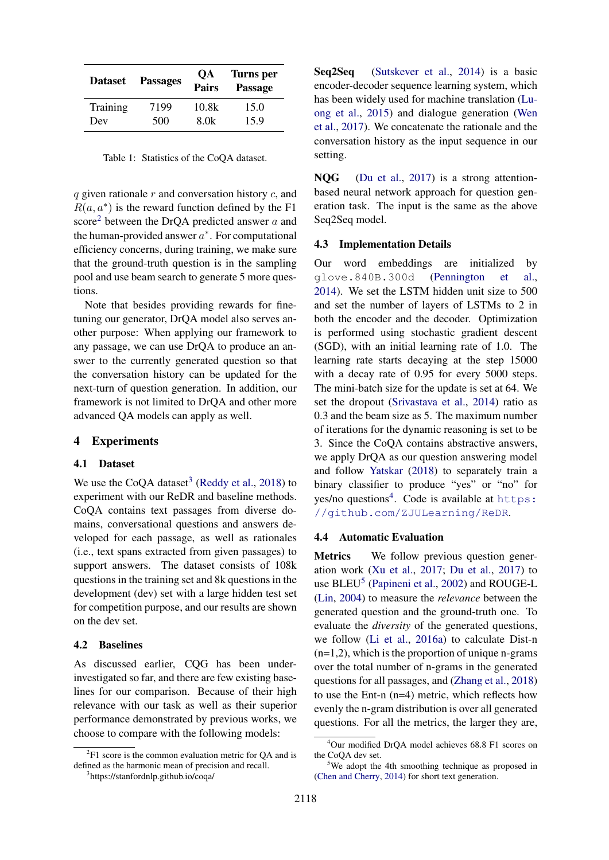| <b>Dataset</b> | <b>Passages</b> | <b>OA</b><br><b>Pairs</b> | Turns per<br><b>Passage</b> |
|----------------|-----------------|---------------------------|-----------------------------|
| Training       | 7199            | 10.8k                     | 15.0                        |
| Dev            | 500             | 8.0k                      | 15.9                        |

Table 1: Statistics of the CoQA dataset.

 $q$  given rationale  $r$  and conversation history  $c$ , and  $R(a, a^*)$  is the reward function defined by the F1 score<sup>[2](#page-4-0)</sup> between the DrQA predicted answer  $a$  and the human-provided answer  $a^*$ . For computational efficiency concerns, during training, we make sure that the ground-truth question is in the sampling pool and use beam search to generate 5 more questions.

Note that besides providing rewards for finetuning our generator, DrQA model also serves another purpose: When applying our framework to any passage, we can use DrQA to produce an answer to the currently generated question so that the conversation history can be updated for the next-turn of question generation. In addition, our framework is not limited to DrQA and other more advanced QA models can apply as well.

### 4 Experiments

### 4.1 Dataset

We use the CoQA dataset<sup>[3](#page-4-1)</sup> [\(Reddy et al.,](#page-9-0) [2018\)](#page-9-0) to experiment with our ReDR and baseline methods. CoQA contains text passages from diverse domains, conversational questions and answers developed for each passage, as well as rationales (i.e., text spans extracted from given passages) to support answers. The dataset consists of 108k questions in the training set and 8k questions in the development (dev) set with a large hidden test set for competition purpose, and our results are shown on the dev set.

### 4.2 Baselines

As discussed earlier, CQG has been underinvestigated so far, and there are few existing baselines for our comparison. Because of their high relevance with our task as well as their superior performance demonstrated by previous works, we choose to compare with the following models:

Seq2Seq [\(Sutskever et al.,](#page-9-7) [2014\)](#page-9-7) is a basic encoder-decoder sequence learning system, which has been widely used for machine translation [\(Lu](#page-8-7)[ong et al.,](#page-8-7) [2015\)](#page-8-7) and dialogue generation [\(Wen](#page-9-8) [et al.,](#page-9-8) [2017\)](#page-9-8). We concatenate the rationale and the conversation history as the input sequence in our setting.

NQG [\(Du et al.,](#page-8-3) [2017\)](#page-8-3) is a strong attentionbased neural network approach for question generation task. The input is the same as the above Seq2Seq model.

#### 4.3 Implementation Details

Our word embeddings are initialized by glove.840B.300d [\(Pennington et al.,](#page-9-9) [2014\)](#page-9-9). We set the LSTM hidden unit size to 500 and set the number of layers of LSTMs to 2 in both the encoder and the decoder. Optimization is performed using stochastic gradient descent (SGD), with an initial learning rate of 1.0. The learning rate starts decaying at the step 15000 with a decay rate of 0.95 for every 5000 steps. The mini-batch size for the update is set at 64. We set the dropout [\(Srivastava et al.,](#page-9-10) [2014\)](#page-9-10) ratio as 0.3 and the beam size as 5. The maximum number of iterations for the dynamic reasoning is set to be 3. Since the CoQA contains abstractive answers, we apply DrQA as our question answering model and follow [Yatskar](#page-10-2) [\(2018\)](#page-10-2) to separately train a binary classifier to produce "yes" or "no" for yes/no questions<sup>[4](#page-4-2)</sup>. Code is available at [https:](https://github.com/ZJULearning/ReDR) [//github.com/ZJULearning/ReDR](https://github.com/ZJULearning/ReDR).

#### 4.4 Automatic Evaluation

Metrics We follow previous question generation work [\(Xu et al.,](#page-10-3) [2017;](#page-10-3) [Du et al.,](#page-8-3) [2017\)](#page-8-3) to use BLEU<sup>[5](#page-4-3)</sup> [\(Papineni et al.,](#page-9-11) [2002\)](#page-9-11) and ROUGE-L [\(Lin,](#page-8-8) [2004\)](#page-8-8) to measure the *relevance* between the generated question and the ground-truth one. To evaluate the *diversity* of the generated questions, we follow [\(Li et al.,](#page-8-9) [2016a\)](#page-8-9) to calculate Dist-n  $(n=1,2)$ , which is the proportion of unique n-grams over the total number of n-grams in the generated questions for all passages, and [\(Zhang et al.,](#page-10-4) [2018\)](#page-10-4) to use the Ent-n (n=4) metric, which reflects how evenly the n-gram distribution is over all generated questions. For all the metrics, the larger they are,

<span id="page-4-0"></span> ${}^{2}$ F1 score is the common evaluation metric for QA and is defined as the harmonic mean of precision and recall.

<span id="page-4-1"></span><sup>3</sup> https://stanfordnlp.github.io/coqa/

<span id="page-4-2"></span><sup>4</sup>Our modified DrQA model achieves 68.8 F1 scores on the CoQA dev set.

<span id="page-4-3"></span><sup>&</sup>lt;sup>5</sup>We adopt the 4th smoothing technique as proposed in [\(Chen and Cherry,](#page-8-10) [2014\)](#page-8-10) for short text generation.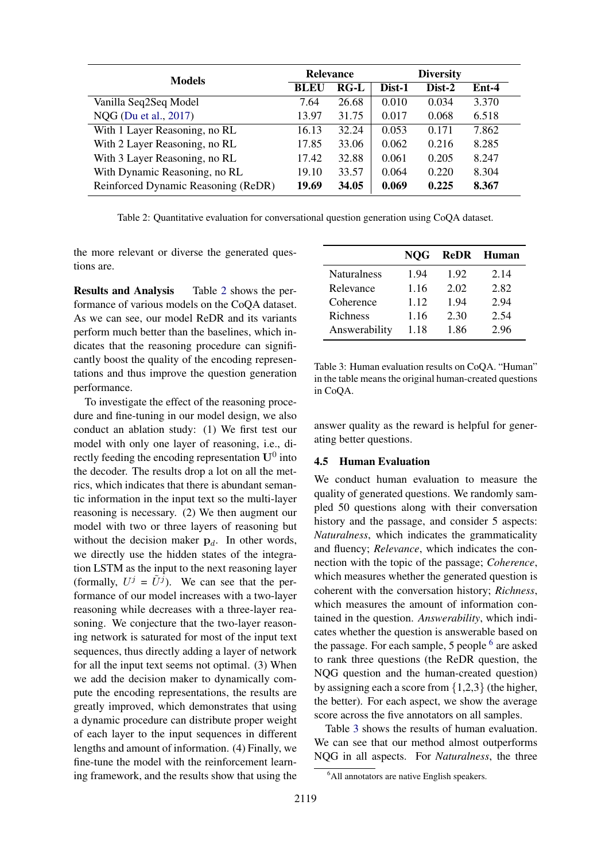<span id="page-5-0"></span>

| <b>Models</b>                       | <b>Relevance</b> |        | <b>Diversity</b> |        |         |
|-------------------------------------|------------------|--------|------------------|--------|---------|
|                                     | <b>BLEU</b>      | $RG-L$ | Dist-1           | Dist-2 | $Ent-4$ |
| Vanilla Seq2Seq Model               | 7.64             | 26.68  | 0.010            | 0.034  | 3.370   |
| NQG (Du et al., 2017)               | 13.97            | 31.75  | 0.017            | 0.068  | 6.518   |
| With 1 Layer Reasoning, no RL       | 16.13            | 32.24  | 0.053            | 0.171  | 7.862   |
| With 2 Layer Reasoning, no RL       | 17.85            | 33.06  | 0.062            | 0.216  | 8.285   |
| With 3 Layer Reasoning, no RL       | 17.42            | 32.88  | 0.061            | 0.205  | 8.247   |
| With Dynamic Reasoning, no RL       | 19.10            | 33.57  | 0.064            | 0.220  | 8.304   |
| Reinforced Dynamic Reasoning (ReDR) | 19.69            | 34.05  | 0.069            | 0.225  | 8.367   |

Table 2: Quantitative evaluation for conversational question generation using CoQA dataset.

the more relevant or diverse the generated questions are.

Results and Analysis Table [2](#page-5-0) shows the performance of various models on the CoQA dataset. As we can see, our model ReDR and its variants perform much better than the baselines, which indicates that the reasoning procedure can significantly boost the quality of the encoding representations and thus improve the question generation performance.

To investigate the effect of the reasoning procedure and fine-tuning in our model design, we also conduct an ablation study: (1) We first test our model with only one layer of reasoning, i.e., directly feeding the encoding representation  $U^0$  into the decoder. The results drop a lot on all the metrics, which indicates that there is abundant semantic information in the input text so the multi-layer reasoning is necessary. (2) We then augment our model with two or three layers of reasoning but without the decision maker  $\mathbf{p}_d$ . In other words, we directly use the hidden states of the integration LSTM as the input to the next reasoning layer (formally,  $U^j = \tilde{U}^j$ ). We can see that the performance of our model increases with a two-layer reasoning while decreases with a three-layer reasoning. We conjecture that the two-layer reasoning network is saturated for most of the input text sequences, thus directly adding a layer of network for all the input text seems not optimal. (3) When we add the decision maker to dynamically compute the encoding representations, the results are greatly improved, which demonstrates that using a dynamic procedure can distribute proper weight of each layer to the input sequences in different lengths and amount of information. (4) Finally, we fine-tune the model with the reinforcement learning framework, and the results show that using the

<span id="page-5-2"></span>

|                    | <b>NOG</b> | <b>ReDR</b> | Human |
|--------------------|------------|-------------|-------|
| <b>Naturalness</b> | 1.94       | 1.92        | 2.14  |
| Relevance          | 1.16       | 2.02        | 2.82  |
| Coherence          | 1.12       | 1.94        | 2.94  |
| Richness           | 1.16       | 2.30        | 2.54  |
| Answerability      | 1.18       | 1.86        | 2.96  |

Table 3: Human evaluation results on CoQA. "Human" in the table means the original human-created questions in CoQA.

answer quality as the reward is helpful for generating better questions.

#### 4.5 Human Evaluation

We conduct human evaluation to measure the quality of generated questions. We randomly sampled 50 questions along with their conversation history and the passage, and consider 5 aspects: *Naturalness*, which indicates the grammaticality and fluency; *Relevance*, which indicates the connection with the topic of the passage; *Coherence*, which measures whether the generated question is coherent with the conversation history; *Richness*, which measures the amount of information contained in the question. *Answerability*, which indicates whether the question is answerable based on the passage. For each sample, 5 people <sup>[6](#page-5-1)</sup> are asked to rank three questions (the ReDR question, the NQG question and the human-created question) by assigning each a score from {1,2,3} (the higher, the better). For each aspect, we show the average score across the five annotators on all samples.

Table [3](#page-5-2) shows the results of human evaluation. We can see that our method almost outperforms NQG in all aspects. For *Naturalness*, the three

<span id="page-5-1"></span><sup>&</sup>lt;sup>6</sup>All annotators are native English speakers.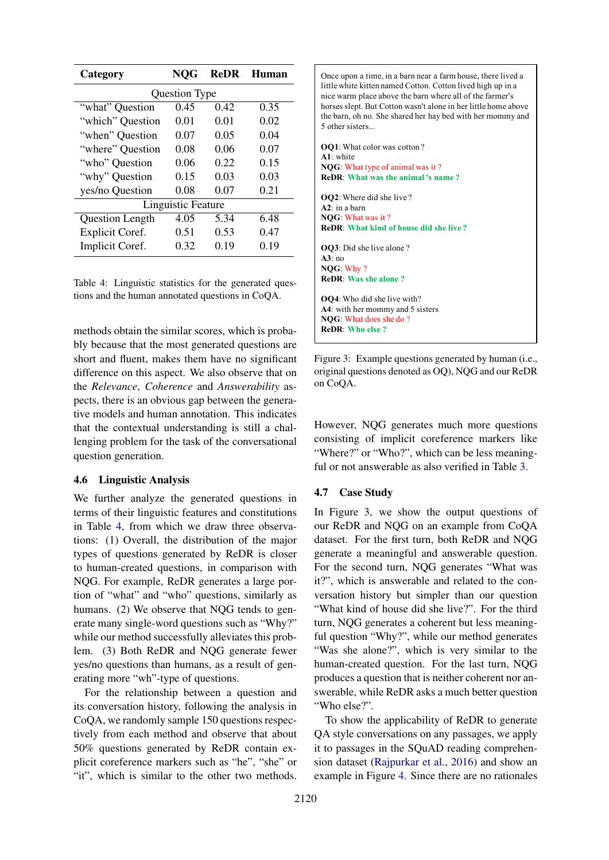<span id="page-6-0"></span>

| Category                  | <b>NOG</b> | <b>ReDR</b> | Human |  |  |  |  |
|---------------------------|------------|-------------|-------|--|--|--|--|
| Question Type             |            |             |       |  |  |  |  |
| "what" Question           | 0.45       | 0.42        | 0.35  |  |  |  |  |
| "which" Question          | 0.01       | 0.01        | 0.02  |  |  |  |  |
| "when" Question           | 0.07       | 0.05        | 0.04  |  |  |  |  |
| "where" Question          | 0.08       | 0.06        | 0.07  |  |  |  |  |
| "who" Question            | 0.06       | 0.22        | 0.15  |  |  |  |  |
| "why" Question            | 0.15       | 0.03        | 0.03  |  |  |  |  |
| yes/no Question           | 0.08       | 0.07        | 0.21  |  |  |  |  |
| <b>Linguistic Feature</b> |            |             |       |  |  |  |  |
| <b>Question Length</b>    | 4.05       | 5.34        | 6.48  |  |  |  |  |
| <b>Explicit Coref.</b>    | 0.51       | 0.53        | 0.47  |  |  |  |  |
| Implicit Coref.           | 0.32       | 0.19        | 0.19  |  |  |  |  |

Table 4: Linguistic statistics for the generated questions and the human annotated questions in CoQA.

methods obtain the similar scores, which is probably because that the most generated questions are short and fluent, makes them have no significant difference on this aspect. We also observe that on the *Relevance*, *Coherence* and *Answerability* aspects, there is an obvious gap between the generative models and human annotation. This indicates that the contextual understanding is still a challenging problem for the task of the conversational question generation.

### 4.6 Linguistic Analysis

We further analyze the generated questions in terms of their linguistic features and constitutions in Table [4,](#page-6-0) from which we draw three observations: (1) Overall, the distribution of the major types of questions generated by ReDR is closer to human-created questions, in comparison with NQG. For example, ReDR generates a large portion of "what" and "who" questions, similarly as humans. (2) We observe that NQG tends to generate many single-word questions such as "Why?" while our method successfully alleviates this problem. (3) Both ReDR and NQG generate fewer yes/no questions than humans, as a result of generating more "wh"-type of questions.

For the relationship between a question and its conversation history, following the analysis in CoQA, we randomly sample 150 questions respectively from each method and observe that about 50% questions generated by ReDR contain explicit coreference markers such as "he", "she" or "it", which is similar to the other two methods.

<span id="page-6-1"></span>Once upon a time, in a barn near a farm house, there lived a little white kitten named Cotton. Cotton lived high up in a nice warm place above the barn where all of the farmer's horses slept. But Cotton wasn't alone in her little home above the barn, oh no. She shared her hay bed with her mommy and 5 other sisters...

**OQ1**: What color was cotton ? **A1**: white **NQG**: What type of animal was it ? **ReDR**: **What was the animal 's name ? OQ2**: Where did she live ? **A2**: in a barn **NQG**: What was it ? **ReDR**: **What kind of house did she live ? OQ3**: Did she live alone ? **A3**: no **NQG**: Why ? **ReDR**: **Was she alone ? OQ4**: Who did she live with? **A4**: with her mommy and 5 sisters **NQG**: What does she do ? **ReDR**: **Who else ?**

Figure 3: Example questions generated by human (i.e., original questions denoted as OQ), NQG and our ReDR on CoQA.

However, NQG generates much more questions consisting of implicit coreference markers like "Where?" or "Who?", which can be less meaningful or not answerable as also verified in Table [3.](#page-5-2)

#### 4.7 Case Study

In Figure [3,](#page-6-1) we show the output questions of our ReDR and NQG on an example from CoQA dataset. For the first turn, both ReDR and NQG generate a meaningful and answerable question. For the second turn, NQG generates "What was it?", which is answerable and related to the conversation history but simpler than our question "What kind of house did she live?". For the third turn, NQG generates a coherent but less meaningful question "Why?", while our method generates "Was she alone?", which is very similar to the human-created question. For the last turn, NQG produces a question that is neither coherent nor answerable, while ReDR asks a much better question "Who else?".

To show the applicability of ReDR to generate QA style conversations on any passages, we apply it to passages in the SQuAD reading comprehension dataset [\(Rajpurkar et al.,](#page-9-4) [2016\)](#page-9-4) and show an example in Figure [4.](#page-7-0) Since there are no rationales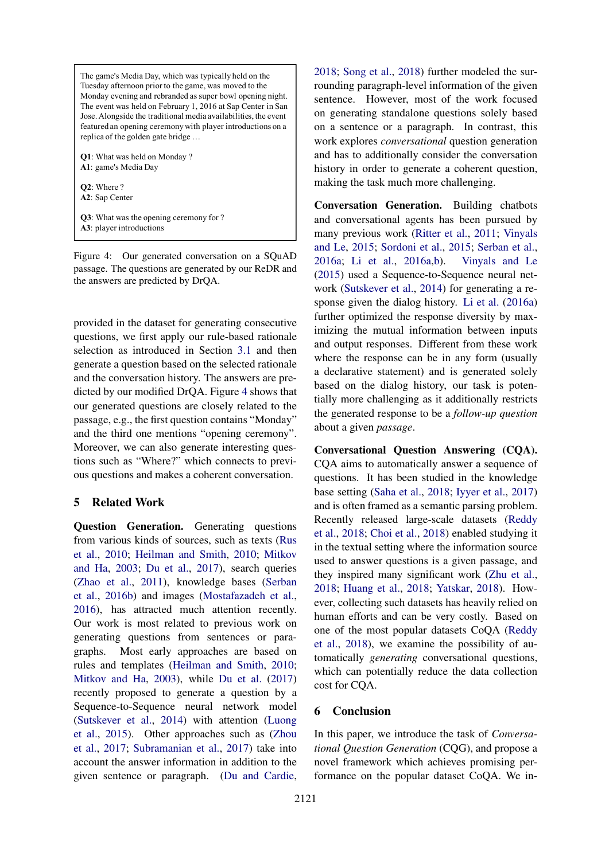<span id="page-7-0"></span>The game's Media Day, which was typically held on the Tuesday afternoon prior to the game, was moved to the Monday evening and rebranded as super bowl opening night. The event was held on February 1, 2016 at Sap Center in San Jose. Alongside the traditional media availabilities, the event featured an opening ceremony with player introductions on a replica of the golden gate bridge …

**Q1**: What was held on Monday ? **A1**: game's Media Day

**Q2**: Where ? **A2**: Sap Center

**Q3**: What was the opening ceremony for ? **A3**: player introductions

Figure 4: Our generated conversation on a SQuAD passage. The questions are generated by our ReDR and the answers are predicted by DrQA.

provided in the dataset for generating consecutive questions, we first apply our rule-based rationale selection as introduced in Section [3.1](#page-1-0) and then generate a question based on the selected rationale and the conversation history. The answers are predicted by our modified DrQA. Figure [4](#page-7-0) shows that our generated questions are closely related to the passage, e.g., the first question contains "Monday" and the third one mentions "opening ceremony". Moreover, we can also generate interesting questions such as "Where?" which connects to previous questions and makes a coherent conversation.

# 5 Related Work

Question Generation. Generating questions from various kinds of sources, such as texts [\(Rus](#page-9-2) [et al.,](#page-9-2) [2010;](#page-9-2) [Heilman and Smith,](#page-8-2) [2010;](#page-8-2) [Mitkov](#page-9-12) [and Ha,](#page-9-12) [2003;](#page-9-12) [Du et al.,](#page-8-3) [2017\)](#page-8-3), search queries [\(Zhao et al.,](#page-10-5) [2011\)](#page-10-5), knowledge bases [\(Serban](#page-9-1) [et al.,](#page-9-1) [2016b\)](#page-9-1) and images [\(Mostafazadeh et al.,](#page-9-13) [2016\)](#page-9-13), has attracted much attention recently. Our work is most related to previous work on generating questions from sentences or paragraphs. Most early approaches are based on rules and templates [\(Heilman and Smith,](#page-8-2) [2010;](#page-8-2) [Mitkov and Ha,](#page-9-12) [2003\)](#page-9-12), while [Du et al.](#page-8-3) [\(2017\)](#page-8-3) recently proposed to generate a question by a Sequence-to-Sequence neural network model [\(Sutskever et al.,](#page-9-7) [2014\)](#page-9-7) with attention [\(Luong](#page-8-7) [et al.,](#page-8-7) [2015\)](#page-8-7). Other approaches such as [\(Zhou](#page-10-6) [et al.,](#page-10-6) [2017;](#page-10-6) [Subramanian et al.,](#page-9-14) [2017\)](#page-9-14) take into account the answer information in addition to the given sentence or paragraph. [\(Du and Cardie,](#page-8-4)

[2018;](#page-8-4) [Song et al.,](#page-9-15) [2018\)](#page-9-15) further modeled the surrounding paragraph-level information of the given sentence. However, most of the work focused on generating standalone questions solely based on a sentence or a paragraph. In contrast, this work explores *conversational* question generation and has to additionally consider the conversation history in order to generate a coherent question, making the task much more challenging.

Conversation Generation. Building chatbots and conversational agents has been pursued by many previous work [\(Ritter et al.,](#page-9-16) [2011;](#page-9-16) [Vinyals](#page-9-17) [and Le,](#page-9-17) [2015;](#page-9-17) [Sordoni et al.,](#page-9-18) [2015;](#page-9-18) [Serban et al.,](#page-9-19) [2016a;](#page-9-19) [Li et al.,](#page-8-9) [2016a,](#page-8-9)[b\)](#page-8-11). [Vinyals and Le](#page-9-17) [\(2015\)](#page-9-17) used a Sequence-to-Sequence neural network [\(Sutskever et al.,](#page-9-7) [2014\)](#page-9-7) for generating a response given the dialog history. [Li et al.](#page-8-9) [\(2016a\)](#page-8-9) further optimized the response diversity by maximizing the mutual information between inputs and output responses. Different from these work where the response can be in any form (usually a declarative statement) and is generated solely based on the dialog history, our task is potentially more challenging as it additionally restricts the generated response to be a *follow-up question* about a given *passage*.

Conversational Question Answering (CQA). CQA aims to automatically answer a sequence of questions. It has been studied in the knowledge base setting [\(Saha et al.,](#page-9-20) [2018;](#page-9-20) [Iyyer et al.,](#page-8-12) [2017\)](#page-8-12) and is often framed as a semantic parsing problem. Recently released large-scale datasets [\(Reddy](#page-9-0) [et al.,](#page-9-0) [2018;](#page-9-0) [Choi et al.,](#page-8-0) [2018\)](#page-8-0) enabled studying it in the textual setting where the information source used to answer questions is a given passage, and they inspired many significant work [\(Zhu et al.,](#page-10-7) [2018;](#page-10-7) [Huang et al.,](#page-8-13) [2018;](#page-8-13) [Yatskar,](#page-10-2) [2018\)](#page-10-2). However, collecting such datasets has heavily relied on human efforts and can be very costly. Based on one of the most popular datasets CoQA [\(Reddy](#page-9-0) [et al.,](#page-9-0) [2018\)](#page-9-0), we examine the possibility of automatically *generating* conversational questions, which can potentially reduce the data collection cost for CQA.

# 6 Conclusion

In this paper, we introduce the task of *Conversational Question Generation* (CQG), and propose a novel framework which achieves promising performance on the popular dataset CoQA. We in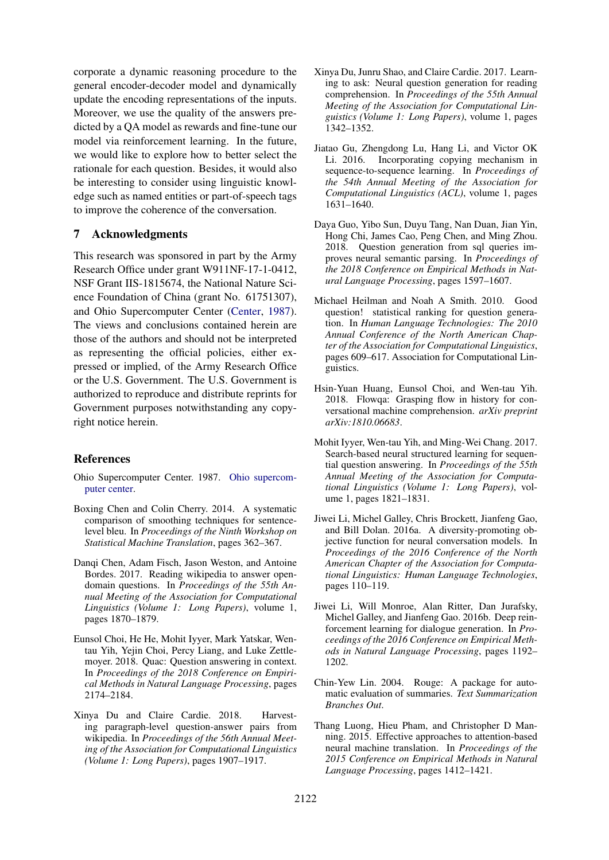corporate a dynamic reasoning procedure to the general encoder-decoder model and dynamically update the encoding representations of the inputs. Moreover, we use the quality of the answers predicted by a QA model as rewards and fine-tune our model via reinforcement learning. In the future, we would like to explore how to better select the rationale for each question. Besides, it would also be interesting to consider using linguistic knowledge such as named entities or part-of-speech tags to improve the coherence of the conversation.

# 7 Acknowledgments

This research was sponsored in part by the Army Research Office under grant W911NF-17-1-0412, NSF Grant IIS-1815674, the National Nature Science Foundation of China (grant No. 61751307), and Ohio Supercomputer Center [\(Center,](#page-8-14) [1987\)](#page-8-14). The views and conclusions contained herein are those of the authors and should not be interpreted as representing the official policies, either expressed or implied, of the Army Research Office or the U.S. Government. The U.S. Government is authorized to reproduce and distribute reprints for Government purposes notwithstanding any copyright notice herein.

#### References

- <span id="page-8-14"></span>Ohio Supercomputer Center. 1987. [Ohio supercom](http://osc.edu/ark:/19495/f5s1ph73)[puter center.](http://osc.edu/ark:/19495/f5s1ph73)
- <span id="page-8-10"></span>Boxing Chen and Colin Cherry. 2014. A systematic comparison of smoothing techniques for sentencelevel bleu. In *Proceedings of the Ninth Workshop on Statistical Machine Translation*, pages 362–367.
- <span id="page-8-5"></span>Danqi Chen, Adam Fisch, Jason Weston, and Antoine Bordes. 2017. Reading wikipedia to answer opendomain questions. In *Proceedings of the 55th Annual Meeting of the Association for Computational Linguistics (Volume 1: Long Papers)*, volume 1, pages 1870–1879.
- <span id="page-8-0"></span>Eunsol Choi, He He, Mohit Iyyer, Mark Yatskar, Wentau Yih, Yejin Choi, Percy Liang, and Luke Zettlemoyer. 2018. Quac: Question answering in context. In *Proceedings of the 2018 Conference on Empirical Methods in Natural Language Processing*, pages 2174–2184.
- <span id="page-8-4"></span>Xinya Du and Claire Cardie. 2018. Harvesting paragraph-level question-answer pairs from wikipedia. In *Proceedings of the 56th Annual Meeting of the Association for Computational Linguistics (Volume 1: Long Papers)*, pages 1907–1917.
- <span id="page-8-3"></span>Xinya Du, Junru Shao, and Claire Cardie. 2017. Learning to ask: Neural question generation for reading comprehension. In *Proceedings of the 55th Annual Meeting of the Association for Computational Linguistics (Volume 1: Long Papers)*, volume 1, pages 1342–1352.
- <span id="page-8-6"></span>Jiatao Gu, Zhengdong Lu, Hang Li, and Victor OK Li. 2016. Incorporating copying mechanism in sequence-to-sequence learning. In *Proceedings of the 54th Annual Meeting of the Association for Computational Linguistics (ACL)*, volume 1, pages 1631–1640.
- <span id="page-8-1"></span>Daya Guo, Yibo Sun, Duyu Tang, Nan Duan, Jian Yin, Hong Chi, James Cao, Peng Chen, and Ming Zhou. 2018. Question generation from sql queries improves neural semantic parsing. In *Proceedings of the 2018 Conference on Empirical Methods in Natural Language Processing*, pages 1597–1607.
- <span id="page-8-2"></span>Michael Heilman and Noah A Smith. 2010. Good question! statistical ranking for question generation. In *Human Language Technologies: The 2010 Annual Conference of the North American Chapter of the Association for Computational Linguistics*, pages 609–617. Association for Computational Linguistics.
- <span id="page-8-13"></span>Hsin-Yuan Huang, Eunsol Choi, and Wen-tau Yih. 2018. Flowqa: Grasping flow in history for conversational machine comprehension. *arXiv preprint arXiv:1810.06683*.
- <span id="page-8-12"></span>Mohit Iyyer, Wen-tau Yih, and Ming-Wei Chang. 2017. Search-based neural structured learning for sequential question answering. In *Proceedings of the 55th Annual Meeting of the Association for Computational Linguistics (Volume 1: Long Papers)*, volume 1, pages 1821–1831.
- <span id="page-8-9"></span>Jiwei Li, Michel Galley, Chris Brockett, Jianfeng Gao, and Bill Dolan. 2016a. A diversity-promoting objective function for neural conversation models. In *Proceedings of the 2016 Conference of the North American Chapter of the Association for Computational Linguistics: Human Language Technologies*, pages 110–119.
- <span id="page-8-11"></span>Jiwei Li, Will Monroe, Alan Ritter, Dan Jurafsky, Michel Galley, and Jianfeng Gao. 2016b. Deep reinforcement learning for dialogue generation. In *Proceedings of the 2016 Conference on Empirical Methods in Natural Language Processing*, pages 1192– 1202.
- <span id="page-8-8"></span>Chin-Yew Lin. 2004. Rouge: A package for automatic evaluation of summaries. *Text Summarization Branches Out*.
- <span id="page-8-7"></span>Thang Luong, Hieu Pham, and Christopher D Manning. 2015. Effective approaches to attention-based neural machine translation. In *Proceedings of the 2015 Conference on Empirical Methods in Natural Language Processing*, pages 1412–1421.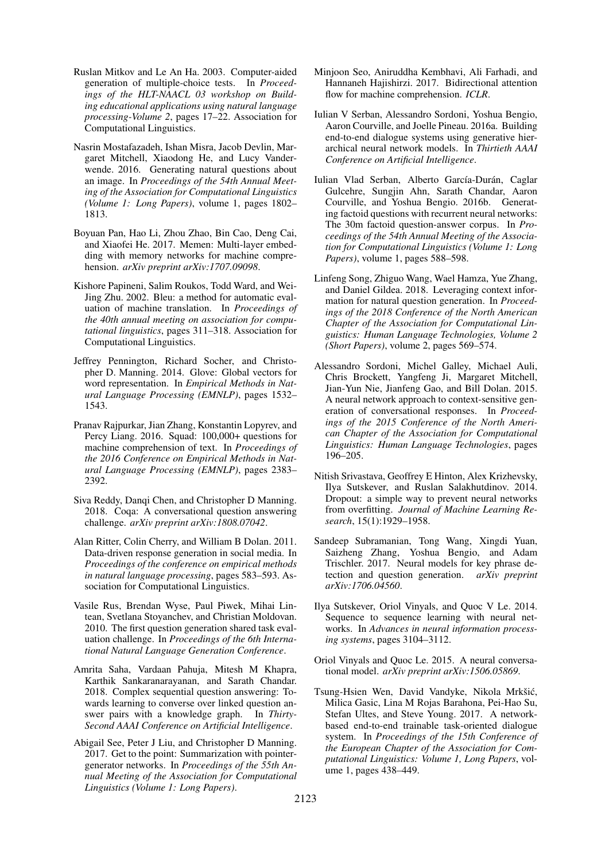- <span id="page-9-12"></span>Ruslan Mitkov and Le An Ha. 2003. Computer-aided generation of multiple-choice tests. In *Proceedings of the HLT-NAACL 03 workshop on Building educational applications using natural language processing-Volume 2*, pages 17–22. Association for Computational Linguistics.
- <span id="page-9-13"></span>Nasrin Mostafazadeh, Ishan Misra, Jacob Devlin, Margaret Mitchell, Xiaodong He, and Lucy Vanderwende. 2016. Generating natural questions about an image. In *Proceedings of the 54th Annual Meeting of the Association for Computational Linguistics (Volume 1: Long Papers)*, volume 1, pages 1802– 1813.
- <span id="page-9-5"></span>Boyuan Pan, Hao Li, Zhou Zhao, Bin Cao, Deng Cai, and Xiaofei He. 2017. Memen: Multi-layer embedding with memory networks for machine comprehension. *arXiv preprint arXiv:1707.09098*.
- <span id="page-9-11"></span>Kishore Papineni, Salim Roukos, Todd Ward, and Wei-Jing Zhu. 2002. Bleu: a method for automatic evaluation of machine translation. In *Proceedings of the 40th annual meeting on association for computational linguistics*, pages 311–318. Association for Computational Linguistics.
- <span id="page-9-9"></span>Jeffrey Pennington, Richard Socher, and Christopher D. Manning. 2014. Glove: Global vectors for word representation. In *Empirical Methods in Natural Language Processing (EMNLP)*, pages 1532– 1543.
- <span id="page-9-4"></span>Pranav Rajpurkar, Jian Zhang, Konstantin Lopyrev, and Percy Liang. 2016. Squad: 100,000+ questions for machine comprehension of text. In *Proceedings of the 2016 Conference on Empirical Methods in Natural Language Processing (EMNLP)*, pages 2383– 2392.
- <span id="page-9-0"></span>Siva Reddy, Danqi Chen, and Christopher D Manning. 2018. Coqa: A conversational question answering challenge. *arXiv preprint arXiv:1808.07042*.
- <span id="page-9-16"></span>Alan Ritter, Colin Cherry, and William B Dolan. 2011. Data-driven response generation in social media. In *Proceedings of the conference on empirical methods in natural language processing*, pages 583–593. Association for Computational Linguistics.
- <span id="page-9-2"></span>Vasile Rus, Brendan Wyse, Paul Piwek, Mihai Lintean, Svetlana Stoyanchev, and Christian Moldovan. 2010. The first question generation shared task evaluation challenge. In *Proceedings of the 6th International Natural Language Generation Conference*.
- <span id="page-9-20"></span>Amrita Saha, Vardaan Pahuja, Mitesh M Khapra, Karthik Sankaranarayanan, and Sarath Chandar. 2018. Complex sequential question answering: Towards learning to converse over linked question answer pairs with a knowledge graph. In *Thirty-Second AAAI Conference on Artificial Intelligence*.
- <span id="page-9-6"></span>Abigail See, Peter J Liu, and Christopher D Manning. 2017. Get to the point: Summarization with pointergenerator networks. In *Proceedings of the 55th Annual Meeting of the Association for Computational Linguistics (Volume 1: Long Papers)*.
- <span id="page-9-3"></span>Minjoon Seo, Aniruddha Kembhavi, Ali Farhadi, and Hannaneh Hajishirzi. 2017. Bidirectional attention flow for machine comprehension. *ICLR*.
- <span id="page-9-19"></span>Iulian V Serban, Alessandro Sordoni, Yoshua Bengio, Aaron Courville, and Joelle Pineau. 2016a. Building end-to-end dialogue systems using generative hierarchical neural network models. In *Thirtieth AAAI Conference on Artificial Intelligence*.
- <span id="page-9-1"></span>Iulian Vlad Serban, Alberto García-Durán, Caglar Gulcehre, Sungjin Ahn, Sarath Chandar, Aaron Courville, and Yoshua Bengio. 2016b. Generating factoid questions with recurrent neural networks: The 30m factoid question-answer corpus. In *Proceedings of the 54th Annual Meeting of the Association for Computational Linguistics (Volume 1: Long Papers)*, volume 1, pages 588–598.
- <span id="page-9-15"></span>Linfeng Song, Zhiguo Wang, Wael Hamza, Yue Zhang, and Daniel Gildea. 2018. Leveraging context information for natural question generation. In *Proceedings of the 2018 Conference of the North American Chapter of the Association for Computational Linguistics: Human Language Technologies, Volume 2 (Short Papers)*, volume 2, pages 569–574.
- <span id="page-9-18"></span>Alessandro Sordoni, Michel Galley, Michael Auli, Chris Brockett, Yangfeng Ji, Margaret Mitchell, Jian-Yun Nie, Jianfeng Gao, and Bill Dolan. 2015. A neural network approach to context-sensitive generation of conversational responses. In *Proceedings of the 2015 Conference of the North American Chapter of the Association for Computational Linguistics: Human Language Technologies*, pages 196–205.
- <span id="page-9-10"></span>Nitish Srivastava, Geoffrey E Hinton, Alex Krizhevsky, Ilya Sutskever, and Ruslan Salakhutdinov. 2014. Dropout: a simple way to prevent neural networks from overfitting. *Journal of Machine Learning Research*, 15(1):1929–1958.
- <span id="page-9-14"></span>Sandeep Subramanian, Tong Wang, Xingdi Yuan, Saizheng Zhang, Yoshua Bengio, and Adam Trischler. 2017. Neural models for key phrase detection and question generation. *arXiv preprint arXiv:1706.04560*.
- <span id="page-9-7"></span>Ilya Sutskever, Oriol Vinyals, and Quoc V Le. 2014. Sequence to sequence learning with neural networks. In *Advances in neural information processing systems*, pages 3104–3112.
- <span id="page-9-17"></span>Oriol Vinyals and Quoc Le. 2015. A neural conversational model. *arXiv preprint arXiv:1506.05869*.
- <span id="page-9-8"></span>Tsung-Hsien Wen, David Vandyke, Nikola Mrkšić, Milica Gasic, Lina M Rojas Barahona, Pei-Hao Su, Stefan Ultes, and Steve Young. 2017. A networkbased end-to-end trainable task-oriented dialogue system. In *Proceedings of the 15th Conference of the European Chapter of the Association for Computational Linguistics: Volume 1, Long Papers*, volume 1, pages 438–449.